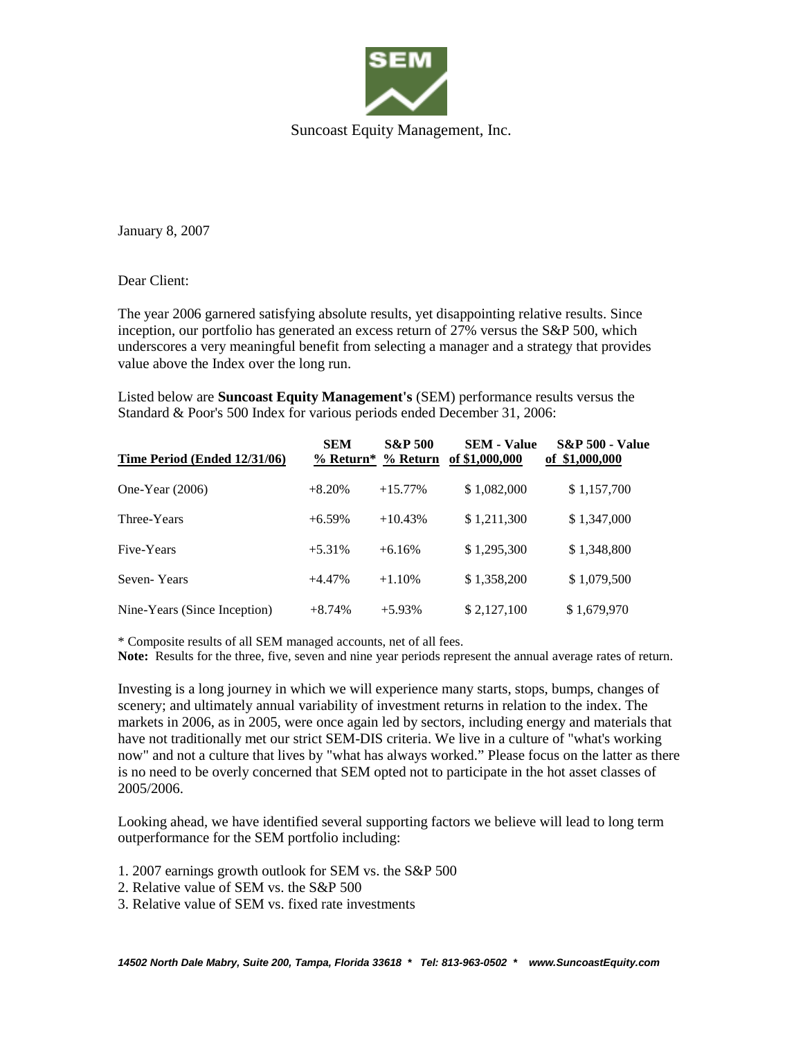

January 8, 2007

Dear Client:

The year 2006 garnered satisfying absolute results, yet disappointing relative results. Since inception, our portfolio has generated an excess return of 27% versus the S&P 500, which underscores a very meaningful benefit from selecting a manager and a strategy that provides value above the Index over the long run.

Listed below are **Suncoast Equity Management's** (SEM) performance results versus the Standard & Poor's 500 Index for various periods ended December 31, 2006:

| Time Period (Ended 12/31/06) | <b>SEM</b> | <b>S&amp;P 500</b> | <b>SEM - Value</b><br>% Return* % Return of \$1,000,000 | <b>S&amp;P 500 - Value</b><br>of \$1,000,000 |
|------------------------------|------------|--------------------|---------------------------------------------------------|----------------------------------------------|
| One-Year $(2006)$            | $+8.20%$   | $+15.77\%$         | \$1,082,000                                             | \$1,157,700                                  |
| Three-Years                  | $+6.59\%$  | $+10.43%$          | \$1,211,300                                             | \$1,347,000                                  |
| Five-Years                   | $+5.31%$   | $+6.16%$           | \$1,295,300                                             | \$1,348,800                                  |
| Seven-Years                  | $+4.47%$   | $+1.10%$           | \$1,358,200                                             | \$1,079,500                                  |
| Nine-Years (Since Inception) | $+8.74%$   | $+5.93\%$          | \$2,127,100                                             | \$1,679,970                                  |

\* Composite results of all SEM managed accounts, net of all fees.

**Note:** Results for the three, five, seven and nine year periods represent the annual average rates of return.

Investing is a long journey in which we will experience many starts, stops, bumps, changes of scenery; and ultimately annual variability of investment returns in relation to the index. The markets in 2006, as in 2005, were once again led by sectors, including energy and materials that have not traditionally met our strict SEM-DIS criteria. We live in a culture of "what's working now" and not a culture that lives by "what has always worked." Please focus on the latter as there is no need to be overly concerned that SEM opted not to participate in the hot asset classes of 2005/2006.

Looking ahead, we have identified several supporting factors we believe will lead to long term outperformance for the SEM portfolio including:

1. 2007 earnings growth outlook for SEM vs. the S&P 500

- 2. Relative value of SEM vs. the S&P 500
- 3. Relative value of SEM vs. fixed rate investments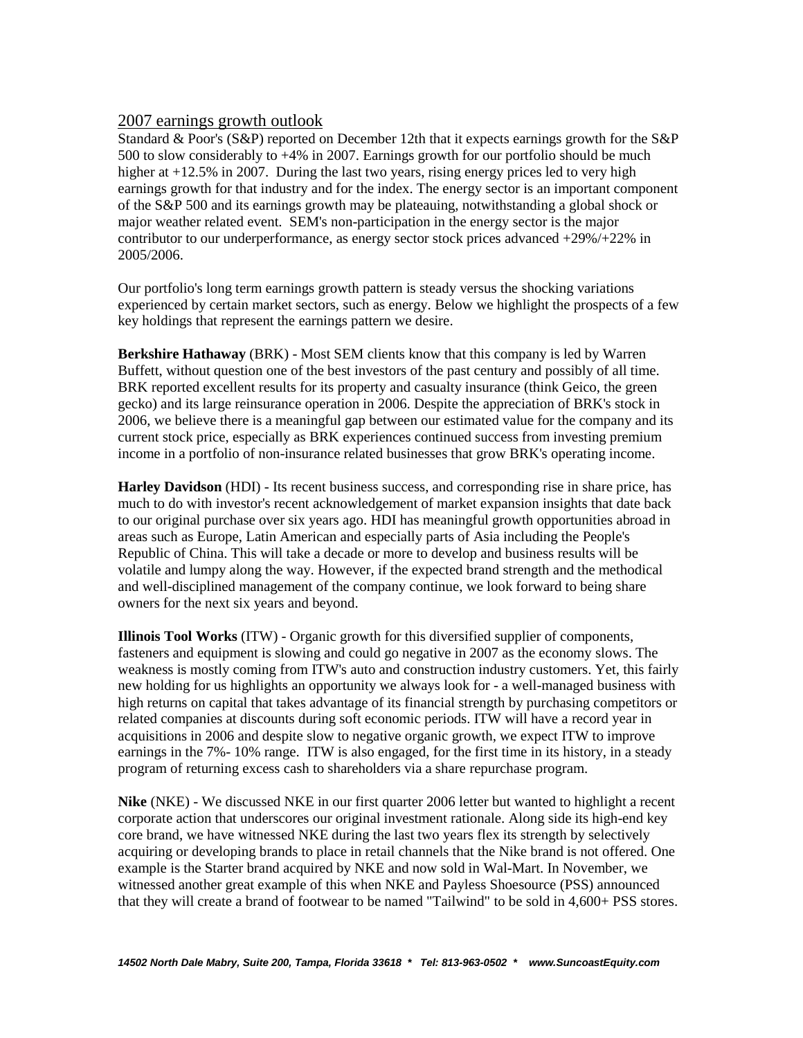## 2007 earnings growth outlook

Standard & Poor's (S&P) reported on December 12th that it expects earnings growth for the S&P 500 to slow considerably to +4% in 2007. Earnings growth for our portfolio should be much higher at  $+12.5\%$  in 2007. During the last two years, rising energy prices led to very high earnings growth for that industry and for the index. The energy sector is an important component of the S&P 500 and its earnings growth may be plateauing, notwithstanding a global shock or major weather related event. SEM's non-participation in the energy sector is the major contributor to our underperformance, as energy sector stock prices advanced +29%/+22% in 2005/2006.

Our portfolio's long term earnings growth pattern is steady versus the shocking variations experienced by certain market sectors, such as energy. Below we highlight the prospects of a few key holdings that represent the earnings pattern we desire.

**Berkshire Hathaway** (BRK) - Most SEM clients know that this company is led by Warren Buffett, without question one of the best investors of the past century and possibly of all time. BRK reported excellent results for its property and casualty insurance (think Geico, the green gecko) and its large reinsurance operation in 2006. Despite the appreciation of BRK's stock in 2006, we believe there is a meaningful gap between our estimated value for the company and its current stock price, especially as BRK experiences continued success from investing premium income in a portfolio of non-insurance related businesses that grow BRK's operating income.

**Harley Davidson** (HDI) - Its recent business success, and corresponding rise in share price, has much to do with investor's recent acknowledgement of market expansion insights that date back to our original purchase over six years ago. HDI has meaningful growth opportunities abroad in areas such as Europe, Latin American and especially parts of Asia including the People's Republic of China. This will take a decade or more to develop and business results will be volatile and lumpy along the way. However, if the expected brand strength and the methodical and well-disciplined management of the company continue, we look forward to being share owners for the next six years and beyond.

**Illinois Tool Works** (ITW) - Organic growth for this diversified supplier of components, fasteners and equipment is slowing and could go negative in 2007 as the economy slows. The weakness is mostly coming from ITW's auto and construction industry customers. Yet, this fairly new holding for us highlights an opportunity we always look for - a well-managed business with high returns on capital that takes advantage of its financial strength by purchasing competitors or related companies at discounts during soft economic periods. ITW will have a record year in acquisitions in 2006 and despite slow to negative organic growth, we expect ITW to improve earnings in the 7%- 10% range. ITW is also engaged, for the first time in its history, in a steady program of returning excess cash to shareholders via a share repurchase program.

**Nike** (NKE) - We discussed NKE in our first quarter 2006 letter but wanted to highlight a recent corporate action that underscores our original investment rationale. Along side its high-end key core brand, we have witnessed NKE during the last two years flex its strength by selectively acquiring or developing brands to place in retail channels that the Nike brand is not offered. One example is the Starter brand acquired by NKE and now sold in Wal-Mart. In November, we witnessed another great example of this when NKE and Payless Shoesource (PSS) announced that they will create a brand of footwear to be named "Tailwind" to be sold in 4,600+ PSS stores.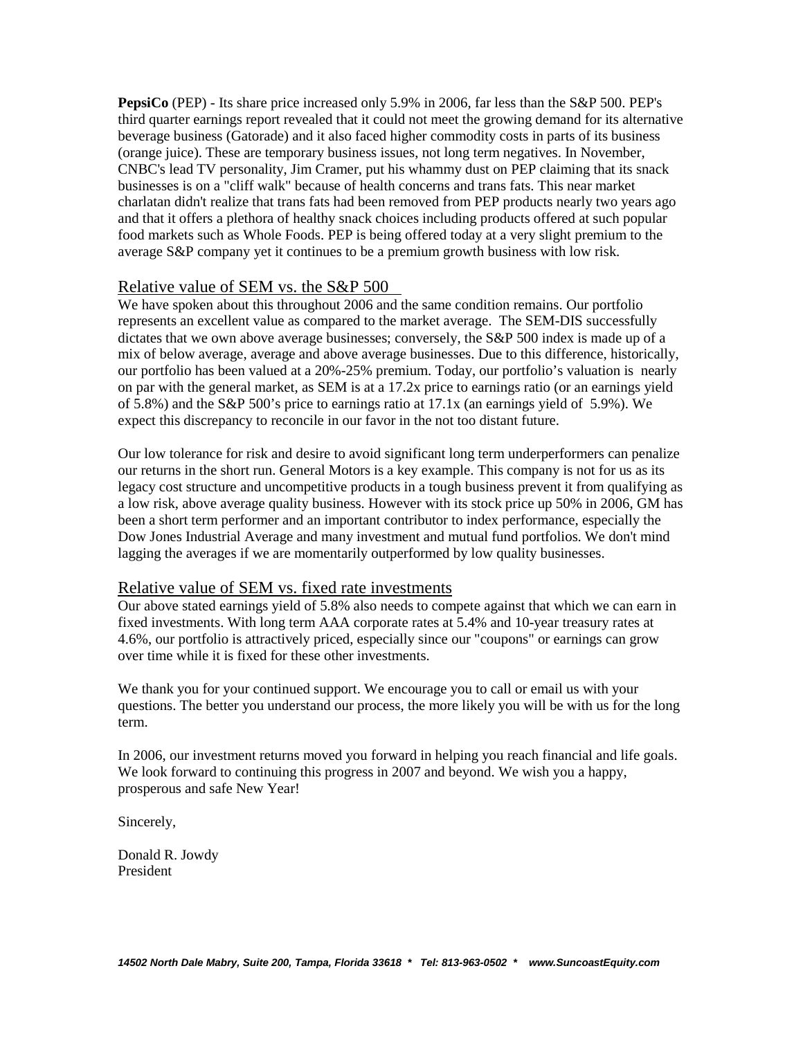**PepsiCo** (PEP) - Its share price increased only 5.9% in 2006, far less than the S&P 500. PEP's third quarter earnings report revealed that it could not meet the growing demand for its alternative beverage business (Gatorade) and it also faced higher commodity costs in parts of its business (orange juice). These are temporary business issues, not long term negatives. In November, CNBC's lead TV personality, Jim Cramer, put his whammy dust on PEP claiming that its snack businesses is on a "cliff walk" because of health concerns and trans fats. This near market charlatan didn't realize that trans fats had been removed from PEP products nearly two years ago and that it offers a plethora of healthy snack choices including products offered at such popular food markets such as Whole Foods. PEP is being offered today at a very slight premium to the average S&P company yet it continues to be a premium growth business with low risk.

## Relative value of SEM vs. the S&P 500

We have spoken about this throughout 2006 and the same condition remains. Our portfolio represents an excellent value as compared to the market average. The SEM-DIS successfully dictates that we own above average businesses; conversely, the S&P 500 index is made up of a mix of below average, average and above average businesses. Due to this difference, historically, our portfolio has been valued at a 20%-25% premium. Today, our portfolio's valuation is nearly on par with the general market, as SEM is at a 17.2x price to earnings ratio (or an earnings yield of 5.8%) and the S&P 500's price to earnings ratio at 17.1x (an earnings yield of 5.9%). We expect this discrepancy to reconcile in our favor in the not too distant future.

Our low tolerance for risk and desire to avoid significant long term underperformers can penalize our returns in the short run. General Motors is a key example. This company is not for us as its legacy cost structure and uncompetitive products in a tough business prevent it from qualifying as a low risk, above average quality business. However with its stock price up 50% in 2006, GM has been a short term performer and an important contributor to index performance, especially the Dow Jones Industrial Average and many investment and mutual fund portfolios. We don't mind lagging the averages if we are momentarily outperformed by low quality businesses.

## Relative value of SEM vs. fixed rate investments

Our above stated earnings yield of 5.8% also needs to compete against that which we can earn in fixed investments. With long term AAA corporate rates at 5.4% and 10-year treasury rates at 4.6%, our portfolio is attractively priced, especially since our "coupons" or earnings can grow over time while it is fixed for these other investments.

We thank you for your continued support. We encourage you to call or email us with your questions. The better you understand our process, the more likely you will be with us for the long term.

In 2006, our investment returns moved you forward in helping you reach financial and life goals. We look forward to continuing this progress in 2007 and beyond. We wish you a happy, prosperous and safe New Year!

Sincerely,

Donald R. Jowdy President